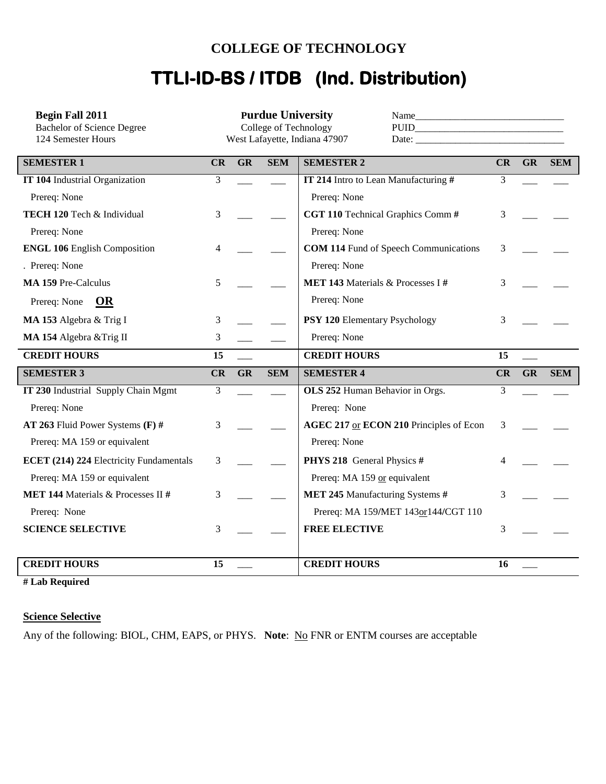## **COLLEGE OF TECHNOLOGY**

# **TTLI-ID-BS / ITDB (Ind. Distribution)**

| <b>Begin Fall 2011</b>                                  |    |           |            | <b>Purdue University</b>                                                                                                                                                                                                                                                                                                                                                                                                                                                                                                                              |    |           |            |
|---------------------------------------------------------|----|-----------|------------|-------------------------------------------------------------------------------------------------------------------------------------------------------------------------------------------------------------------------------------------------------------------------------------------------------------------------------------------------------------------------------------------------------------------------------------------------------------------------------------------------------------------------------------------------------|----|-----------|------------|
| <b>Bachelor of Science Degree</b><br>124 Semester Hours |    |           |            | College of Technology<br>$PUID \begin{tabular}{@{}c@{}} \hline \multicolumn{3}{c}{} & \multicolumn{3}{c}{} & \multicolumn{3}{c}{} & \multicolumn{3}{c}{} & \multicolumn{3}{c}{} & \multicolumn{3}{c}{} & \multicolumn{3}{c}{} & \multicolumn{3}{c}{} & \multicolumn{3}{c}{} & \multicolumn{3}{c}{} & \multicolumn{3}{c}{} & \multicolumn{3}{c}{} & \multicolumn{3}{c}{} & \multicolumn{3}{c}{} & \multicolumn{3}{c}{} & \multicolumn{3}{c}{} & \multicolumn{3}{c}{} & \multicolumn{3}{c}{} & \multicolumn{$<br>West Lafayette, Indiana 47907<br>Date: |    |           |            |
|                                                         |    |           |            |                                                                                                                                                                                                                                                                                                                                                                                                                                                                                                                                                       |    |           |            |
| <b>SEMESTER 1</b>                                       | CR | <b>GR</b> | <b>SEM</b> | <b>SEMESTER 2</b>                                                                                                                                                                                                                                                                                                                                                                                                                                                                                                                                     | CR | <b>GR</b> | <b>SEM</b> |
| <b>IT 104 Industrial Organization</b>                   | 3  |           |            | IT 214 Intro to Lean Manufacturing #                                                                                                                                                                                                                                                                                                                                                                                                                                                                                                                  | 3  |           |            |
| Prereq: None                                            |    |           |            | Prereq: None                                                                                                                                                                                                                                                                                                                                                                                                                                                                                                                                          |    |           |            |
| TECH 120 Tech & Individual                              | 3  |           |            | CGT 110 Technical Graphics Comm #                                                                                                                                                                                                                                                                                                                                                                                                                                                                                                                     | 3  |           |            |
| Prereq: None                                            |    |           |            | Prereq: None                                                                                                                                                                                                                                                                                                                                                                                                                                                                                                                                          |    |           |            |
| <b>ENGL 106 English Composition</b>                     | 4  |           |            | <b>COM 114 Fund of Speech Communications</b>                                                                                                                                                                                                                                                                                                                                                                                                                                                                                                          | 3  |           |            |
| . Prereq: None                                          |    |           |            | Prereq: None                                                                                                                                                                                                                                                                                                                                                                                                                                                                                                                                          |    |           |            |
| <b>MA 159 Pre-Calculus</b>                              | 5  |           |            | MET 143 Materials & Processes I#                                                                                                                                                                                                                                                                                                                                                                                                                                                                                                                      | 3  |           |            |
| OR<br>Prereq: None                                      |    |           |            | Prereq: None                                                                                                                                                                                                                                                                                                                                                                                                                                                                                                                                          |    |           |            |
| MA 153 Algebra & Trig I                                 | 3  |           |            | <b>PSY 120 Elementary Psychology</b>                                                                                                                                                                                                                                                                                                                                                                                                                                                                                                                  | 3  |           |            |
| MA 154 Algebra & Trig II                                | 3  |           |            | Prereq: None                                                                                                                                                                                                                                                                                                                                                                                                                                                                                                                                          |    |           |            |
|                                                         |    |           |            |                                                                                                                                                                                                                                                                                                                                                                                                                                                                                                                                                       |    |           |            |
| <b>CREDIT HOURS</b>                                     | 15 |           |            | <b>CREDIT HOURS</b>                                                                                                                                                                                                                                                                                                                                                                                                                                                                                                                                   | 15 |           |            |
| <b>SEMESTER 3</b>                                       | CR | GR        | <b>SEM</b> | <b>SEMESTER 4</b>                                                                                                                                                                                                                                                                                                                                                                                                                                                                                                                                     | CR | GR        | <b>SEM</b> |
| IT 230 Industrial Supply Chain Mgmt                     | 3  |           |            | OLS 252 Human Behavior in Orgs.                                                                                                                                                                                                                                                                                                                                                                                                                                                                                                                       | 3  |           |            |
| Prereq: None                                            |    |           |            | Prereq: None                                                                                                                                                                                                                                                                                                                                                                                                                                                                                                                                          |    |           |            |
| AT 263 Fluid Power Systems $(F)$ #                      | 3  |           |            | AGEC 217 or ECON 210 Principles of Econ                                                                                                                                                                                                                                                                                                                                                                                                                                                                                                               | 3  |           |            |
| Prereq: MA 159 or equivalent                            |    |           |            | Prereq: None                                                                                                                                                                                                                                                                                                                                                                                                                                                                                                                                          |    |           |            |
| ECET (214) 224 Electricity Fundamentals                 | 3  |           |            | PHYS 218 General Physics #                                                                                                                                                                                                                                                                                                                                                                                                                                                                                                                            |    |           |            |
| Prereq: MA 159 or equivalent                            |    |           |            | Prereq: MA 159 or equivalent                                                                                                                                                                                                                                                                                                                                                                                                                                                                                                                          |    |           |            |
| MET 144 Materials & Processes II #                      | 3  |           |            | MET 245 Manufacturing Systems #                                                                                                                                                                                                                                                                                                                                                                                                                                                                                                                       | 3  |           |            |
| Prereq: None                                            |    |           |            | Prereq: MA 159/MET 143or144/CGT 110                                                                                                                                                                                                                                                                                                                                                                                                                                                                                                                   |    |           |            |
| <b>SCIENCE SELECTIVE</b>                                | 3  |           |            | <b>FREE ELECTIVE</b>                                                                                                                                                                                                                                                                                                                                                                                                                                                                                                                                  | 3  |           |            |
|                                                         |    |           |            |                                                                                                                                                                                                                                                                                                                                                                                                                                                                                                                                                       |    |           |            |

**# Lab Required**

### **Science Selective**

Any of the following: BIOL, CHM, EAPS, or PHYS. Note: No FNR or ENTM courses are acceptable